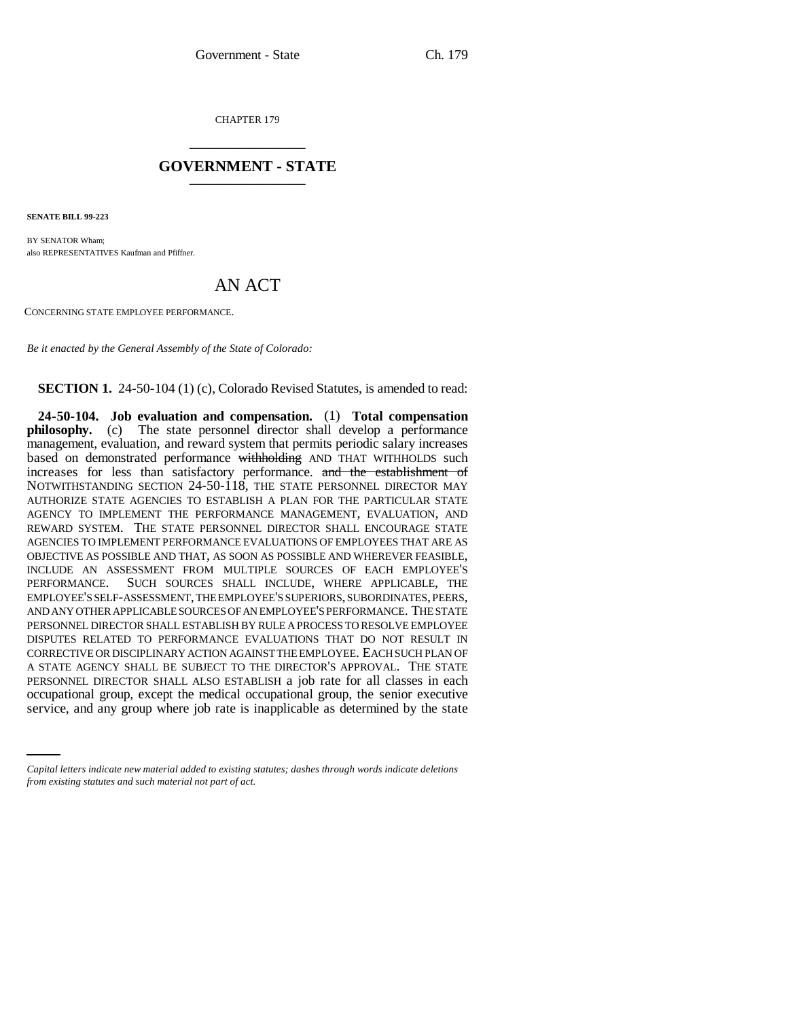CHAPTER 179 \_\_\_\_\_\_\_\_\_\_\_\_\_\_\_

## **GOVERNMENT - STATE** \_\_\_\_\_\_\_\_\_\_\_\_\_\_\_

**SENATE BILL 99-223** 

BY SENATOR Wham; also REPRESENTATIVES Kaufman and Pfiffner.

## AN ACT

CONCERNING STATE EMPLOYEE PERFORMANCE.

*Be it enacted by the General Assembly of the State of Colorado:*

**SECTION 1.** 24-50-104 (1) (c), Colorado Revised Statutes, is amended to read:

occupational group, except the medical occupational group, the senior executive **24-50-104. Job evaluation and compensation.** (1) **Total compensation philosophy.** (c) The state personnel director shall develop a performance management, evaluation, and reward system that permits periodic salary increases based on demonstrated performance withholding AND THAT WITHHOLDS such increases for less than satisfactory performance. and the establishment of NOTWITHSTANDING SECTION 24-50-118, THE STATE PERSONNEL DIRECTOR MAY AUTHORIZE STATE AGENCIES TO ESTABLISH A PLAN FOR THE PARTICULAR STATE AGENCY TO IMPLEMENT THE PERFORMANCE MANAGEMENT, EVALUATION, AND REWARD SYSTEM. THE STATE PERSONNEL DIRECTOR SHALL ENCOURAGE STATE AGENCIES TO IMPLEMENT PERFORMANCE EVALUATIONS OF EMPLOYEES THAT ARE AS OBJECTIVE AS POSSIBLE AND THAT, AS SOON AS POSSIBLE AND WHEREVER FEASIBLE, INCLUDE AN ASSESSMENT FROM MULTIPLE SOURCES OF EACH EMPLOYEE'S PERFORMANCE. SUCH SOURCES SHALL INCLUDE, WHERE APPLICABLE, THE EMPLOYEE'S SELF-ASSESSMENT, THE EMPLOYEE'S SUPERIORS, SUBORDINATES, PEERS, AND ANY OTHER APPLICABLE SOURCES OF AN EMPLOYEE'S PERFORMANCE. THE STATE PERSONNEL DIRECTOR SHALL ESTABLISH BY RULE A PROCESS TO RESOLVE EMPLOYEE DISPUTES RELATED TO PERFORMANCE EVALUATIONS THAT DO NOT RESULT IN CORRECTIVE OR DISCIPLINARY ACTION AGAINST THE EMPLOYEE. EACH SUCH PLAN OF A STATE AGENCY SHALL BE SUBJECT TO THE DIRECTOR'S APPROVAL. THE STATE PERSONNEL DIRECTOR SHALL ALSO ESTABLISH a job rate for all classes in each service, and any group where job rate is inapplicable as determined by the state

*Capital letters indicate new material added to existing statutes; dashes through words indicate deletions from existing statutes and such material not part of act.*